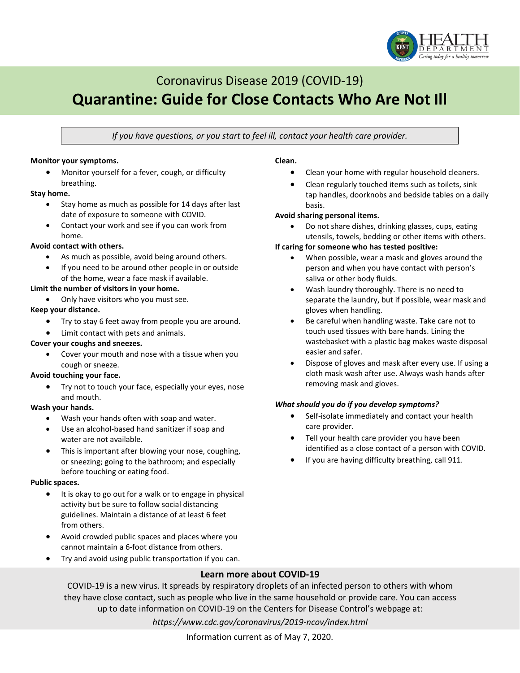

# Coronavirus Disease 2019 (COVID-19) **Quarantine: Guide for Close Contacts Who Are Not Ill**

*If you have questions, or you start to feel ill, contact your health care provider.*

#### **Monitor your symptoms.**

• Monitor yourself for a fever, cough, or difficulty breathing.

#### **Stay home.**

- Stay home as much as possible for 14 days after last date of exposure to someone with COVID.
- Contact your work and see if you can work from home.

#### **Avoid contact with others.**

- As much as possible, avoid being around others.
- If you need to be around other people in or outside of the home, wear a face mask if available.

#### **Limit the number of visitors in your home.**

• Only have visitors who you must see.

#### **Keep your distance.**

- Try to stay 6 feet away from people you are around.
- Limit contact with pets and animals.

#### **Cover your coughs and sneezes.**

Cover your mouth and nose with a tissue when you cough or sneeze.

#### **Avoid touching your face.**

• Try not to touch your face, especially your eyes, nose and mouth.

#### **Wash your hands.**

- Wash your hands often with soap and water.
- Use an alcohol-based hand sanitizer if soap and water are not available.
- This is important after blowing your nose, coughing, or sneezing; going to the bathroom; and especially before touching or eating food.

#### **Public spaces.**

- It is okay to go out for a walk or to engage in physical activity but be sure to follow social distancing guidelines. Maintain a distance of at least 6 feet from others.
- Avoid crowded public spaces and places where you cannot maintain a 6-foot distance from others.
- Try and avoid using public transportation if you can.

#### **Clean.**

- Clean your home with regular household cleaners.
- Clean regularly touched items such as toilets, sink tap handles, doorknobs and bedside tables on a daily basis.

#### **Avoid sharing personal items.**

• Do not share dishes, drinking glasses, cups, eating utensils, towels, bedding or other items with others.

#### **If caring for someone who has tested positive:**

- When possible, wear a mask and gloves around the person and when you have contact with person's saliva or other body fluids.
- Wash laundry thoroughly. There is no need to separate the laundry, but if possible, wear mask and gloves when handling.
- Be careful when handling waste. Take care not to touch used tissues with bare hands. Lining the wastebasket with a plastic bag makes waste disposal easier and safer.
- Dispose of gloves and mask after every use. If using a cloth mask wash after use. Always wash hands after removing mask and gloves.

#### *What should you do if you develop symptoms?*

- Self-isolate immediately and contact your health care provider.
- Tell your health care provider you have been identified as a close contact of a person with COVID.
- If you are having difficulty breathing, call 911.

# **Learn more about COVID-19**

COVID-19 is a new virus. It spreads by respiratory droplets of an infected person to others with whom they have close contact, such as people who live in the same household or provide care. You can access up to date information on COVID-19 on the Centers for Disease Control's webpage at:

*https://www.cdc.gov/coronavirus/2019-ncov/index.html*

Information current as of May 7, 2020.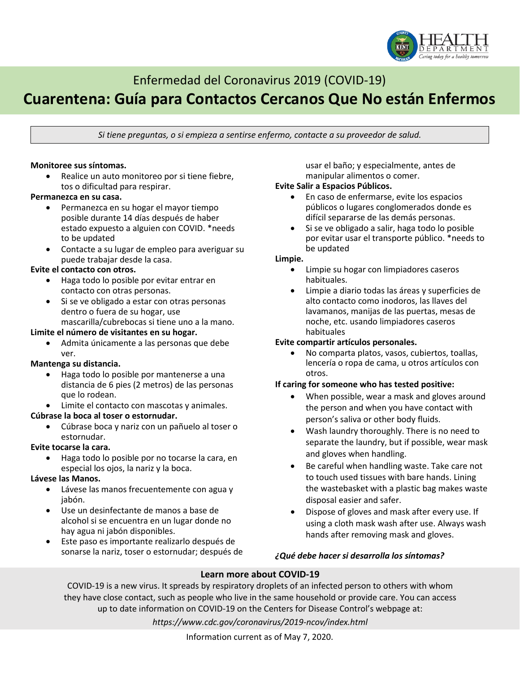

# Enfermedad del Coronavirus 2019 (COVID-19)

# **Cuarentena: Guía para Contactos Cercanos Que No están Enfermos**

*Si tiene preguntas, o si empieza a sentirse enfermo, contacte a su proveedor de salud.*

#### **Monitoree sus síntomas.**

Realice un auto monitoreo por si tiene fiebre, tos o dificultad para respirar.

#### **Permanezca en su casa.**

- Permanezca en su hogar el mayor tiempo posible durante 14 días después de haber estado expuesto a alguien con COVID. \*needs to be updated
- Contacte a su lugar de empleo para averiguar su puede trabajar desde la casa.

## **Evite el contacto con otros.**

- Haga todo lo posible por evitar entrar en contacto con otras personas.
- Si se ve obligado a estar con otras personas dentro o fuera de su hogar, use

mascarilla/cubrebocas si tiene uno a la mano.

# **Limite el número de visitantes en su hogar.**

• Admita únicamente a las personas que debe ver.

#### **Mantenga su distancia.**

- Haga todo lo posible por mantenerse a una distancia de 6 pies (2 metros) de las personas que lo rodean.
- Limite el contacto con mascotas y animales.

### **Cúbrase la boca al toser o estornudar.**

• Cúbrase boca y nariz con un pañuelo al toser o estornudar.

#### **Evite tocarse la cara.**

• Haga todo lo posible por no tocarse la cara, en especial los ojos, la nariz y la boca.

#### **Lávese las Manos.**

- Lávese las manos frecuentemente con agua y jabón.
- Use un desinfectante de manos a base de alcohol si se encuentra en un lugar donde no hay agua ni jabón disponibles.
- Este paso es importante realizarlo después de sonarse la nariz, toser o estornudar; después de

usar el baño; y especialmente, antes de manipular alimentos o comer.

#### **Evite Salir a Espacios Públicos.**

- En caso de enfermarse, evite los espacios públicos o lugares conglomerados donde es difícil separarse de las demás personas.
- Si se ve obligado a salir, haga todo lo posible por evitar usar el transporte público. \*needs to be updated

#### **Limpie.**

- Limpie su hogar con limpiadores caseros habituales.
- Limpie a diario todas las áreas y superficies de alto contacto como inodoros, las llaves del lavamanos, manijas de las puertas, mesas de noche, etc. usando limpiadores caseros habituales

### **Evite compartir artículos personales.**

• No comparta platos, vasos, cubiertos, toallas, lencería o ropa de cama, u otros artículos con otros.

### **If caring for someone who has tested positive:**

- When possible, wear a mask and gloves around the person and when you have contact with person's saliva or other body fluids.
- Wash laundry thoroughly. There is no need to separate the laundry, but if possible, wear mask and gloves when handling.
- Be careful when handling waste. Take care not to touch used tissues with bare hands. Lining the wastebasket with a plastic bag makes waste disposal easier and safer.
- Dispose of gloves and mask after every use. If using a cloth mask wash after use. Always wash hands after removing mask and gloves.

# *¿Qué debe hacer si desarrolla los síntomas?*

# **Learn more about COVID-19**

COVID-19 is a new virus. It spreads by respiratory droplets of an infected person to others with whom they have close contact, such as people who live in the same household or provide care. You can access up to date information on COVID-19 on the Centers for Disease Control's webpage at:

*https://www.cdc.gov/coronavirus/2019-ncov/index.html*

Information current as of May 7, 2020.